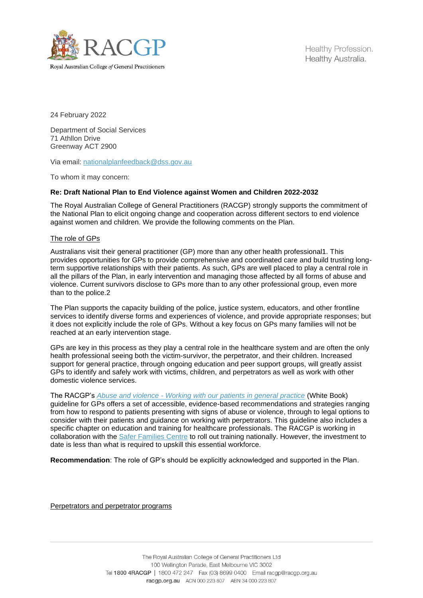

Healthy Profession. Healthy Australia.

24 February 2022

Department of Social Services 71 Athllon Drive Greenway ACT 2900

Via email: [nationalplanfeedback@dss.gov.au](mailto:nationalplanfeedback@dss.gov.au)

To whom it may concern:

## **Re: Draft National Plan to End Violence against Women and Children 2022-2032**

The Royal Australian College of General Practitioners (RACGP) strongly supports the commitment of the National Plan to elicit ongoing change and cooperation across different sectors to end violence against women and children. We provide the following comments on the Plan.

## The role of GPs

Australians visit their general practitioner (GP) more than any other health professional1. This provides opportunities for GPs to provide comprehensive and coordinated care and build trusting longterm supportive relationships with their patients. As such, GPs are well placed to play a central role in all the pillars of the Plan, in early intervention and managing those affected by all forms of abuse and violence. Current survivors disclose to GPs more than to any other professional group, even more than to the police.2

The Plan supports the capacity building of the police, justice system, educators, and other frontline services to identify diverse forms and experiences of violence, and provide appropriate responses; but it does not explicitly include the role of GPs. Without a key focus on GPs many families will not be reached at an early intervention stage.

GPs are key in this process as they play a central role in the healthcare system and are often the only health professional seeing both the victim-survivor, the perpetrator, and their children. Increased support for general practice, through ongoing education and peer support groups, will greatly assist GPs to identify and safely work with victims, children, and perpetrators as well as work with other domestic violence services.

The RACGP's *Abuse and violence - [Working with our patients in general practice](https://www.racgp.org.au/clinical-resources/clinical-guidelines/key-racgp-guidelines/view-all-racgp-guidelines/abuse-and-violence/preamble)* (White Book) guideline for GPs offers a set of accessible, evidence-based recommendations and strategies ranging from how to respond to patients presenting with signs of abuse or violence, through to legal options to consider with their patients and guidance on working with perpetrators. This guideline also includes a specific chapter on education and training for healthcare professionals. The RACGP is working in collaboration with the [Safer Families Centre](https://www.saferfamilies.org.au/) to roll out training nationally. However, the investment to date is less than what is required to upskill this essential workforce.

**Recommendation**: The role of GP's should be explicitly acknowledged and supported in the Plan.

Perpetrators and perpetrator programs